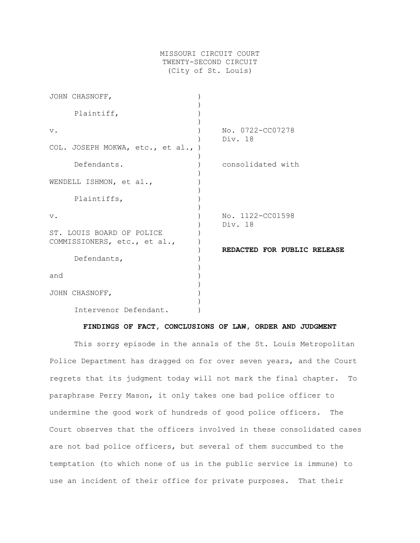## MISSOURI CIRCUIT COURT TWENTY-SECOND CIRCUIT (City of St. Louis)

| JOHN CHASNOFF,                                            |                             |
|-----------------------------------------------------------|-----------------------------|
| Plaintiff,                                                |                             |
| $V$ .                                                     | No. 0722-CC07278<br>Div. 18 |
| COL. JOSEPH MOKWA, etc., et al., )                        |                             |
| Defendants.                                               | consolidated with           |
| WENDELL ISHMON, et al.,                                   |                             |
| Plaintiffs,                                               |                             |
| $V$ .                                                     | No. 1122-CC01598<br>Div. 18 |
| ST. LOUIS BOARD OF POLICE<br>COMMISSIONERS, etc., et al., |                             |
|                                                           | REDACTED FOR PUBLIC RELEASE |
| Defendants,                                               |                             |
| and                                                       |                             |
| JOHN CHASNOFF,                                            |                             |
| Intervenor Defendant.                                     |                             |

#### **FINDINGS OF FACT, CONCLUSIONS OF LAW, ORDER AND JUDGMENT**

This sorry episode in the annals of the St. Louis Metropolitan Police Department has dragged on for over seven years, and the Court regrets that its judgment today will not mark the final chapter. To paraphrase Perry Mason, it only takes one bad police officer to undermine the good work of hundreds of good police officers. The Court observes that the officers involved in these consolidated cases are not bad police officers, but several of them succumbed to the temptation (to which none of us in the public service is immune) to use an incident of their office for private purposes. That their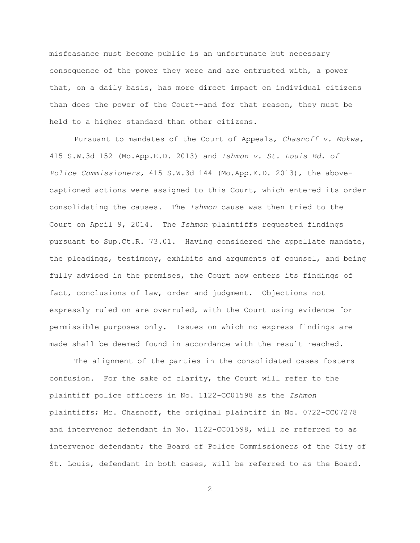misfeasance must become public is an unfortunate but necessary consequence of the power they were and are entrusted with, a power that, on a daily basis, has more direct impact on individual citizens than does the power of the Court--and for that reason, they must be held to a higher standard than other citizens.

Pursuant to mandates of the Court of Appeals, *Chasnoff v. Mokwa,* 415 S.W.3d 152 (Mo.App.E.D. 2013) and *Ishmon v. St. Louis Bd. of Police Commissioners,* 415 S.W.3d 144 (Mo.App.E.D. 2013), the abovecaptioned actions were assigned to this Court, which entered its order consolidating the causes. The *Ishmon* cause was then tried to the Court on April 9, 2014. The *Ishmon* plaintiffs requested findings pursuant to Sup.Ct.R. 73.01. Having considered the appellate mandate, the pleadings, testimony, exhibits and arguments of counsel, and being fully advised in the premises, the Court now enters its findings of fact, conclusions of law, order and judgment. Objections not expressly ruled on are overruled, with the Court using evidence for permissible purposes only. Issues on which no express findings are made shall be deemed found in accordance with the result reached.

The alignment of the parties in the consolidated cases fosters confusion. For the sake of clarity, the Court will refer to the plaintiff police officers in No. 1122-CC01598 as the *Ishmon* plaintiffs; Mr. Chasnoff, the original plaintiff in No. 0722-CC07278 and intervenor defendant in No. 1122-CC01598, will be referred to as intervenor defendant; the Board of Police Commissioners of the City of St. Louis, defendant in both cases, will be referred to as the Board.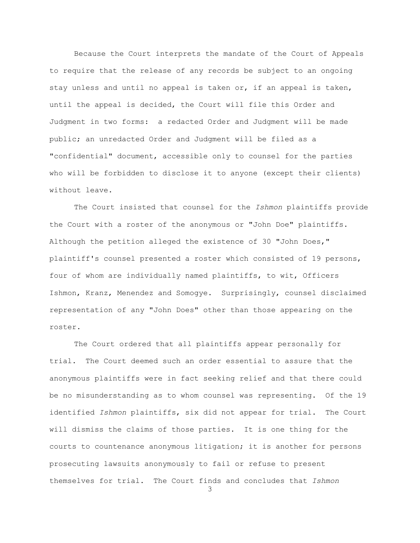Because the Court interprets the mandate of the Court of Appeals to require that the release of any records be subject to an ongoing stay unless and until no appeal is taken or, if an appeal is taken, until the appeal is decided, the Court will file this Order and Judgment in two forms: a redacted Order and Judgment will be made public; an unredacted Order and Judgment will be filed as a "confidential" document, accessible only to counsel for the parties who will be forbidden to disclose it to anyone (except their clients) without leave.

The Court insisted that counsel for the *Ishmon* plaintiffs provide the Court with a roster of the anonymous or "John Doe" plaintiffs. Although the petition alleged the existence of 30 "John Does," plaintiff's counsel presented a roster which consisted of 19 persons, four of whom are individually named plaintiffs, to wit, Officers Ishmon, Kranz, Menendez and Somogye. Surprisingly, counsel disclaimed representation of any "John Does" other than those appearing on the roster.

The Court ordered that all plaintiffs appear personally for trial. The Court deemed such an order essential to assure that the anonymous plaintiffs were in fact seeking relief and that there could be no misunderstanding as to whom counsel was representing. Of the 19 identified *Ishmon* plaintiffs, six did not appear for trial. The Court will dismiss the claims of those parties. It is one thing for the courts to countenance anonymous litigation; it is another for persons prosecuting lawsuits anonymously to fail or refuse to present themselves for trial. The Court finds and concludes that *Ishmon*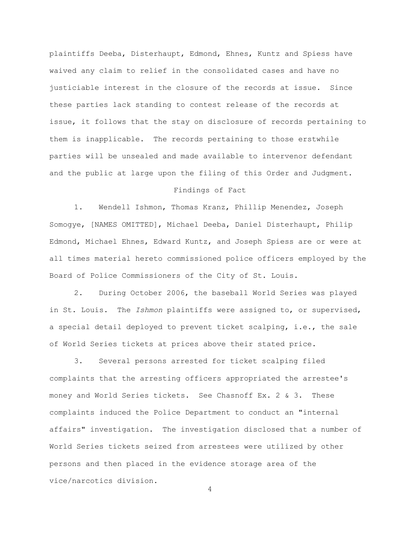plaintiffs Deeba, Disterhaupt, Edmond, Ehnes, Kuntz and Spiess have waived any claim to relief in the consolidated cases and have no justiciable interest in the closure of the records at issue. Since these parties lack standing to contest release of the records at issue, it follows that the stay on disclosure of records pertaining to them is inapplicable. The records pertaining to those erstwhile parties will be unsealed and made available to intervenor defendant and the public at large upon the filing of this Order and Judgment.

### Findings of Fact

1. Wendell Ishmon, Thomas Kranz, Phillip Menendez, Joseph Somogye, [NAMES OMITTED], Michael Deeba, Daniel Disterhaupt, Philip Edmond, Michael Ehnes, Edward Kuntz, and Joseph Spiess are or were at all times material hereto commissioned police officers employed by the Board of Police Commissioners of the City of St. Louis.

2. During October 2006, the baseball World Series was played in St. Louis. The *Ishmon* plaintiffs were assigned to, or supervised, a special detail deployed to prevent ticket scalping, i.e., the sale of World Series tickets at prices above their stated price.

3. Several persons arrested for ticket scalping filed complaints that the arresting officers appropriated the arrestee's money and World Series tickets. See Chasnoff Ex. 2 & 3. These complaints induced the Police Department to conduct an "internal affairs" investigation. The investigation disclosed that a number of World Series tickets seized from arrestees were utilized by other persons and then placed in the evidence storage area of the vice/narcotics division.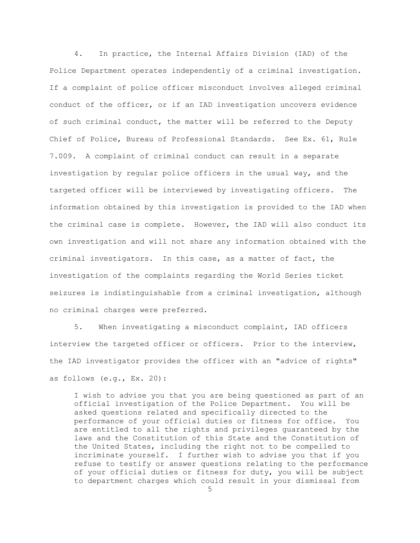4. In practice, the Internal Affairs Division (IAD) of the Police Department operates independently of a criminal investigation. If a complaint of police officer misconduct involves alleged criminal conduct of the officer, or if an IAD investigation uncovers evidence of such criminal conduct, the matter will be referred to the Deputy Chief of Police, Bureau of Professional Standards. See Ex. 61, Rule 7.009. A complaint of criminal conduct can result in a separate investigation by regular police officers in the usual way, and the targeted officer will be interviewed by investigating officers. The information obtained by this investigation is provided to the IAD when the criminal case is complete. However, the IAD will also conduct its own investigation and will not share any information obtained with the criminal investigators. In this case, as a matter of fact, the investigation of the complaints regarding the World Series ticket seizures is indistinguishable from a criminal investigation, although no criminal charges were preferred.

5. When investigating a misconduct complaint, IAD officers interview the targeted officer or officers. Prior to the interview, the IAD investigator provides the officer with an "advice of rights" as follows (e.g., Ex. 20):

I wish to advise you that you are being questioned as part of an official investigation of the Police Department. You will be asked questions related and specifically directed to the performance of your official duties or fitness for office. You are entitled to all the rights and privileges guaranteed by the laws and the Constitution of this State and the Constitution of the United States, including the right not to be compelled to incriminate yourself. I further wish to advise you that if you refuse to testify or answer questions relating to the performance of your official duties or fitness for duty, you will be subject to department charges which could result in your dismissal from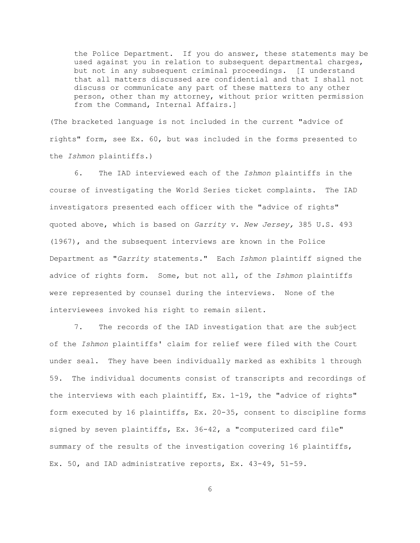the Police Department. If you do answer, these statements may be used against you in relation to subsequent departmental charges, but not in any subsequent criminal proceedings. [I understand that all matters discussed are confidential and that I shall not discuss or communicate any part of these matters to any other person, other than my attorney, without prior written permission from the Command, Internal Affairs.]

(The bracketed language is not included in the current "advice of rights" form, see Ex. 60, but was included in the forms presented to the *Ishmon* plaintiffs.)

6. The IAD interviewed each of the *Ishmon* plaintiffs in the course of investigating the World Series ticket complaints. The IAD investigators presented each officer with the "advice of rights" quoted above, which is based on *Garrity v. New Jersey,* 385 U.S. 493 (1967), and the subsequent interviews are known in the Police Department as "*Garrity* statements." Each *Ishmon* plaintiff signed the advice of rights form. Some, but not all, of the *Ishmon* plaintiffs were represented by counsel during the interviews. None of the interviewees invoked his right to remain silent.

7. The records of the IAD investigation that are the subject of the *Ishmon* plaintiffs' claim for relief were filed with the Court under seal. They have been individually marked as exhibits 1 through 59. The individual documents consist of transcripts and recordings of the interviews with each plaintiff, Ex. 1-19, the "advice of rights" form executed by 16 plaintiffs, Ex. 20-35, consent to discipline forms signed by seven plaintiffs, Ex. 36-42, a "computerized card file" summary of the results of the investigation covering 16 plaintiffs, Ex. 50, and IAD administrative reports, Ex. 43-49, 51-59.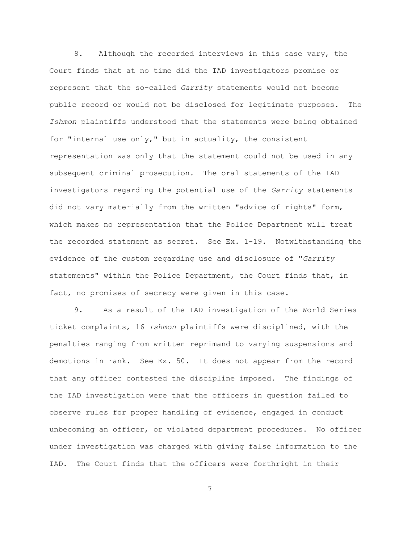8. Although the recorded interviews in this case vary, the Court finds that at no time did the IAD investigators promise or represent that the so-called *Garrity* statements would not become public record or would not be disclosed for legitimate purposes. The *Ishmon* plaintiffs understood that the statements were being obtained for "internal use only," but in actuality, the consistent representation was only that the statement could not be used in any subsequent criminal prosecution. The oral statements of the IAD investigators regarding the potential use of the *Garrity* statements did not vary materially from the written "advice of rights" form, which makes no representation that the Police Department will treat the recorded statement as secret. See Ex. 1-19. Notwithstanding the evidence of the custom regarding use and disclosure of "*Garrity* statements" within the Police Department, the Court finds that, in fact, no promises of secrecy were given in this case.

9. As a result of the IAD investigation of the World Series ticket complaints, 16 *Ishmon* plaintiffs were disciplined, with the penalties ranging from written reprimand to varying suspensions and demotions in rank. See Ex. 50. It does not appear from the record that any officer contested the discipline imposed. The findings of the IAD investigation were that the officers in question failed to observe rules for proper handling of evidence, engaged in conduct unbecoming an officer, or violated department procedures. No officer under investigation was charged with giving false information to the IAD. The Court finds that the officers were forthright in their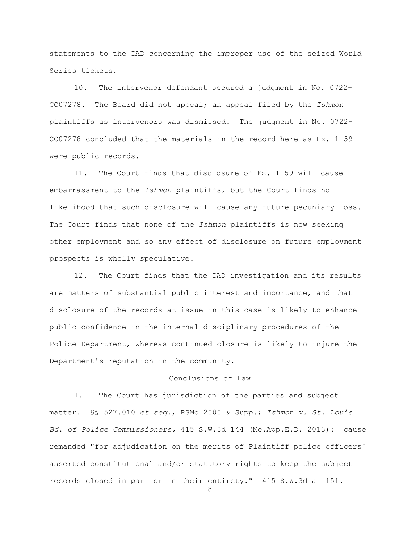statements to the IAD concerning the improper use of the seized World Series tickets.

10. The intervenor defendant secured a judgment in No. 0722- CC07278. The Board did not appeal; an appeal filed by the *Ishmon* plaintiffs as intervenors was dismissed. The judgment in No. 0722- CC07278 concluded that the materials in the record here as Ex. 1-59 were public records.

11. The Court finds that disclosure of Ex. 1-59 will cause embarrassment to the *Ishmon* plaintiffs, but the Court finds no likelihood that such disclosure will cause any future pecuniary loss. The Court finds that none of the *Ishmon* plaintiffs is now seeking other employment and so any effect of disclosure on future employment prospects is wholly speculative.

12. The Court finds that the IAD investigation and its results are matters of substantial public interest and importance, and that disclosure of the records at issue in this case is likely to enhance public confidence in the internal disciplinary procedures of the Police Department, whereas continued closure is likely to injure the Department's reputation in the community.

# Conclusions of Law

1. The Court has jurisdiction of the parties and subject matter. §§ 527.010 *et seq.*, RSMo 2000 & Supp.; *Ishmon v. St. Louis Bd. of Police Commissioners,* 415 S.W.3d 144 (Mo.App.E.D. 2013): cause remanded "for adjudication on the merits of Plaintiff police officers' asserted constitutional and/or statutory rights to keep the subject records closed in part or in their entirety." 415 S.W.3d at 151.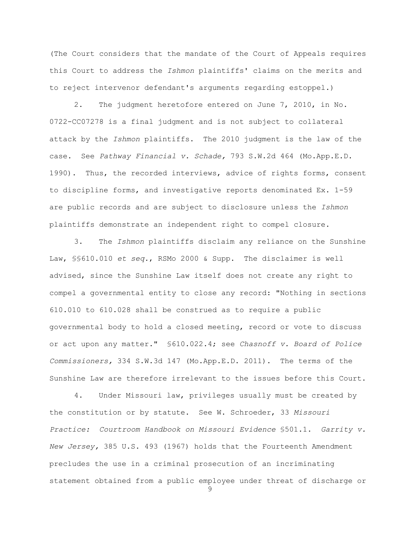(The Court considers that the mandate of the Court of Appeals requires this Court to address the *Ishmon* plaintiffs' claims on the merits and to reject intervenor defendant's arguments regarding estoppel.)

2. The judgment heretofore entered on June 7, 2010, in No. 0722-CC07278 is a final judgment and is not subject to collateral attack by the *Ishmon* plaintiffs. The 2010 judgment is the law of the case. See *Pathway Financial v. Schade,* 793 S.W.2d 464 (Mo.App.E.D. 1990). Thus, the recorded interviews, advice of rights forms, consent to discipline forms, and investigative reports denominated Ex. 1-59 are public records and are subject to disclosure unless the *Ishmon* plaintiffs demonstrate an independent right to compel closure.

3. The *Ishmon* plaintiffs disclaim any reliance on the Sunshine Law, §§610.010 *et seq.*, RSMo 2000 & Supp. The disclaimer is well advised, since the Sunshine Law itself does not create any right to compel a governmental entity to close any record: "Nothing in sections 610.010 to 610.028 shall be construed as to require a public governmental body to hold a closed meeting, record or vote to discuss or act upon any matter." §610.022.4; see *Chasnoff v. Board of Police Commissioners,* 334 S.W.3d 147 (Mo.App.E.D. 2011). The terms of the Sunshine Law are therefore irrelevant to the issues before this Court.

9 4. Under Missouri law, privileges usually must be created by the constitution or by statute. See W. Schroeder, 33 *Missouri Practice: Courtroom Handbook on Missouri Evidence* §501.1. *Garrity v. New Jersey,* 385 U.S. 493 (1967) holds that the Fourteenth Amendment precludes the use in a criminal prosecution of an incriminating statement obtained from a public employee under threat of discharge or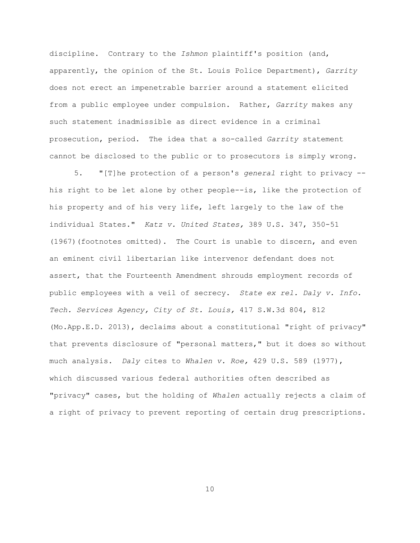discipline. Contrary to the *Ishmon* plaintiff's position (and, apparently, the opinion of the St. Louis Police Department), *Garrity* does not erect an impenetrable barrier around a statement elicited from a public employee under compulsion. Rather, *Garrity* makes any such statement inadmissible as direct evidence in a criminal prosecution, period. The idea that a so-called *Garrity* statement cannot be disclosed to the public or to prosecutors is simply wrong.

5. "[T]he protection of a person's *general* right to privacy - his right to be let alone by other people--is, like the protection of his property and of his very life, left largely to the law of the individual States." *Katz v. United States,* 389 U.S. 347, 350-51 (1967)(footnotes omitted). The Court is unable to discern, and even an eminent civil libertarian like intervenor defendant does not assert, that the Fourteenth Amendment shrouds employment records of public employees with a veil of secrecy. *State ex rel. Daly v. Info. Tech. Services Agency, City of St. Louis,* 417 S.W.3d 804, 812 (Mo.App.E.D. 2013), declaims about a constitutional "right of privacy" that prevents disclosure of "personal matters," but it does so without much analysis. *Daly* cites to *Whalen v. Roe,* 429 U.S. 589 (1977), which discussed various federal authorities often described as "privacy" cases, but the holding of *Whalen* actually rejects a claim of a right of privacy to prevent reporting of certain drug prescriptions.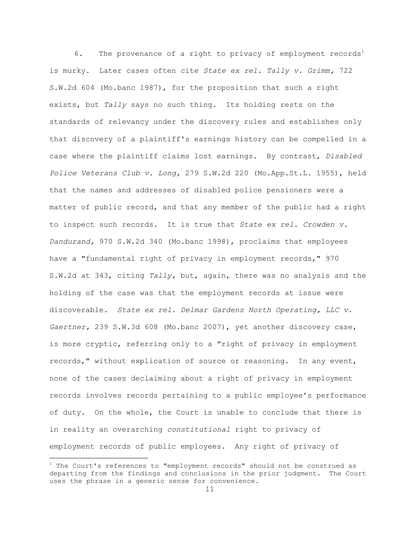6. The provenance of a right to privacy of employment records<sup>1</sup> is murky. Later cases often cite *State ex rel. Tally v. Grimm,* 722 S.W.2d 604 (Mo.banc 1987), for the proposition that such a right exists, but *Tally* says no such thing. Its holding rests on the standards of relevancy under the discovery rules and establishes only that discovery of a plaintiff's earnings history can be compelled in a case where the plaintiff claims lost earnings. By contrast, *Disabled Police Veterans Club v. Long,* 279 S.W.2d 220 (Mo.App.St.L. 1955), held that the names and addresses of disabled police pensioners were a matter of public record, and that any member of the public had a right to inspect such records. It is true that *State ex rel. Crowden v. Dandurand,* 970 S.W.2d 340 (Mo.banc 1998), proclaims that employees have a "fundamental right of privacy in employment records," 970 S.W.2d at 343, citing *Tally,* but, again, there was no analysis and the holding of the case was that the employment records at issue were discoverable. *State ex rel. Delmar Gardens North Operating, LLC v. Gaertner,* 239 S.W.3d 608 (Mo.banc 2007), yet another discovery case, is more cryptic, referring only to a "right of privacy in employment records," without explication of source or reasoning. In any event, none of the cases declaiming about a right of privacy in employment records involves records pertaining to a public employee's performance of duty. On the whole, the Court is unable to conclude that there is in reality an overarching *constitutional* right to privacy of employment records of public employees. Any right of privacy of

 $^1$  The Court's references to "employment records" should not be construed as departing from the findings and conclusions in the prior judgment. The Court uses the phrase in a generic sense for convenience.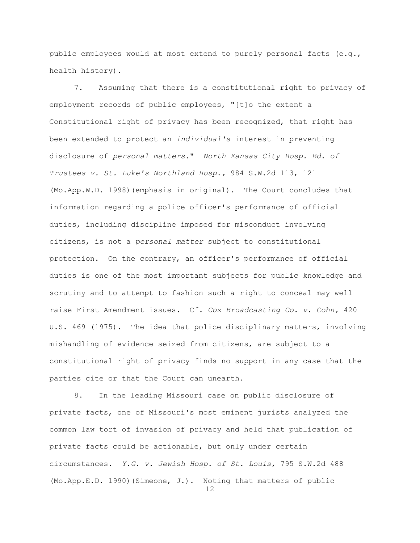public employees would at most extend to purely personal facts (e.g., health history).

7. Assuming that there is a constitutional right to privacy of employment records of public employees, "[t]o the extent a Constitutional right of privacy has been recognized, that right has been extended to protect an *individual's* interest in preventing disclosure of *personal matters*." *North Kansas City Hosp. Bd. of Trustees v. St. Luke's Northland Hosp.,* 984 S.W.2d 113, 121 (Mo.App.W.D. 1998)(emphasis in original). The Court concludes that information regarding a police officer's performance of official duties, including discipline imposed for misconduct involving citizens, is not a *personal matter* subject to constitutional protection. On the contrary, an officer's performance of official duties is one of the most important subjects for public knowledge and scrutiny and to attempt to fashion such a right to conceal may well raise First Amendment issues. Cf. *Cox Broadcasting Co. v. Cohn,* 420 U.S. 469 (1975). The idea that police disciplinary matters, involving mishandling of evidence seized from citizens, are subject to a constitutional right of privacy finds no support in any case that the parties cite or that the Court can unearth.

8. In the leading Missouri case on public disclosure of private facts, one of Missouri's most eminent jurists analyzed the common law tort of invasion of privacy and held that publication of private facts could be actionable, but only under certain circumstances. *Y.G. v. Jewish Hosp. of St. Louis,* 795 S.W.2d 488 (Mo.App.E.D. 1990)(Simeone, J.). Noting that matters of public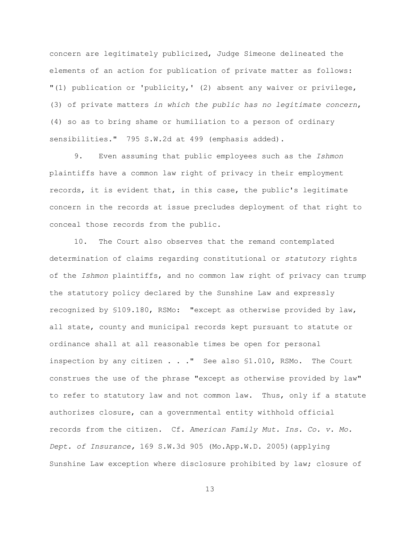concern are legitimately publicized, Judge Simeone delineated the elements of an action for publication of private matter as follows: "(1) publication or 'publicity,' (2) absent any waiver or privilege, (3) of private matters *in which the public has no legitimate concern*, (4) so as to bring shame or humiliation to a person of ordinary sensibilities." 795 S.W.2d at 499 (emphasis added).

9. Even assuming that public employees such as the *Ishmon* plaintiffs have a common law right of privacy in their employment records, it is evident that, in this case, the public's legitimate concern in the records at issue precludes deployment of that right to conceal those records from the public.

10. The Court also observes that the remand contemplated determination of claims regarding constitutional or *statutory* rights of the *Ishmon* plaintiffs, and no common law right of privacy can trump the statutory policy declared by the Sunshine Law and expressly recognized by §109.180, RSMo: "except as otherwise provided by law, all state, county and municipal records kept pursuant to statute or ordinance shall at all reasonable times be open for personal inspection by any citizen . . ." See also §1.010, RSMo. The Court construes the use of the phrase "except as otherwise provided by law" to refer to statutory law and not common law. Thus, only if a statute authorizes closure, can a governmental entity withhold official records from the citizen. Cf. *American Family Mut. Ins. Co. v. Mo. Dept. of Insurance,* 169 S.W.3d 905 (Mo.App.W.D. 2005)(applying Sunshine Law exception where disclosure prohibited by law; closure of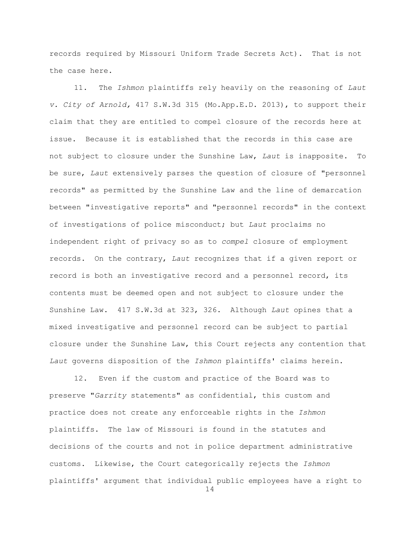records required by Missouri Uniform Trade Secrets Act). That is not the case here.

11. The *Ishmon* plaintiffs rely heavily on the reasoning of *Laut v. City of Arnold,* 417 S.W.3d 315 (Mo.App.E.D. 2013), to support their claim that they are entitled to compel closure of the records here at issue. Because it is established that the records in this case are not subject to closure under the Sunshine Law, *Laut* is inapposite. To be sure, *Laut* extensively parses the question of closure of "personnel records" as permitted by the Sunshine Law and the line of demarcation between "investigative reports" and "personnel records" in the context of investigations of police misconduct; but *Laut* proclaims no independent right of privacy so as to *compel* closure of employment records. On the contrary, *Laut* recognizes that if a given report or record is both an investigative record and a personnel record, its contents must be deemed open and not subject to closure under the Sunshine Law. 417 S.W.3d at 323, 326. Although *Laut* opines that a mixed investigative and personnel record can be subject to partial closure under the Sunshine Law, this Court rejects any contention that *Laut* governs disposition of the *Ishmon* plaintiffs' claims herein.

12. Even if the custom and practice of the Board was to preserve "*Garrity* statements" as confidential, this custom and practice does not create any enforceable rights in the *Ishmon* plaintiffs. The law of Missouri is found in the statutes and decisions of the courts and not in police department administrative customs. Likewise, the Court categorically rejects the *Ishmon*  plaintiffs' argument that individual public employees have a right to

```
14
```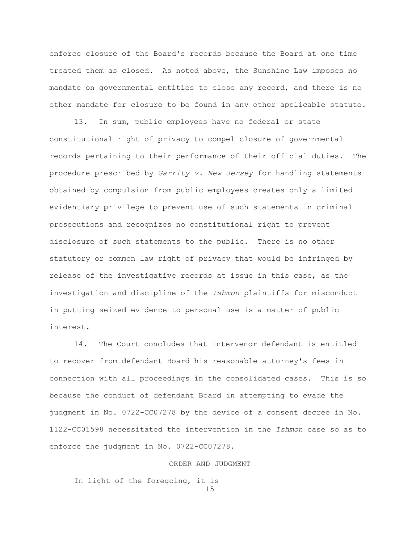enforce closure of the Board's records because the Board at one time treated them as closed. As noted above, the Sunshine Law imposes no mandate on governmental entities to close any record, and there is no other mandate for closure to be found in any other applicable statute.

13. In sum, public employees have no federal or state constitutional right of privacy to compel closure of governmental records pertaining to their performance of their official duties. The procedure prescribed by *Garrity v. New Jersey* for handling statements obtained by compulsion from public employees creates only a limited evidentiary privilege to prevent use of such statements in criminal prosecutions and recognizes no constitutional right to prevent disclosure of such statements to the public. There is no other statutory or common law right of privacy that would be infringed by release of the investigative records at issue in this case, as the investigation and discipline of the *Ishmon* plaintiffs for misconduct in putting seized evidence to personal use is a matter of public interest.

14. The Court concludes that intervenor defendant is entitled to recover from defendant Board his reasonable attorney's fees in connection with all proceedings in the consolidated cases. This is so because the conduct of defendant Board in attempting to evade the judgment in No. 0722-CC07278 by the device of a consent decree in No. 1122-CC01598 necessitated the intervention in the *Ishmon* case so as to enforce the judgment in No. 0722-CC07278.

### ORDER AND JUDGMENT

15 In light of the foregoing, it is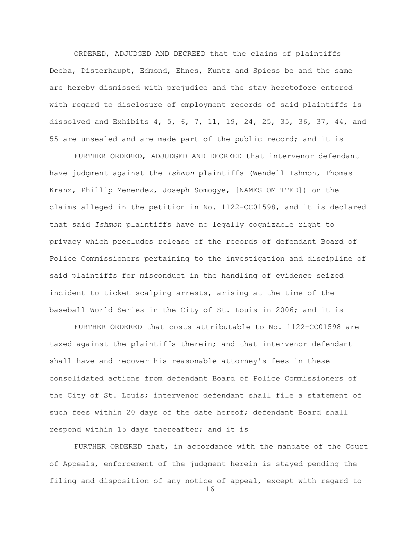ORDERED, ADJUDGED AND DECREED that the claims of plaintiffs Deeba, Disterhaupt, Edmond, Ehnes, Kuntz and Spiess be and the same are hereby dismissed with prejudice and the stay heretofore entered with regard to disclosure of employment records of said plaintiffs is dissolved and Exhibits 4, 5, 6, 7, 11, 19, 24, 25, 35, 36, 37, 44, and 55 are unsealed and are made part of the public record; and it is

FURTHER ORDERED, ADJUDGED AND DECREED that intervenor defendant have judgment against the *Ishmon* plaintiffs (Wendell Ishmon, Thomas Kranz, Phillip Menendez, Joseph Somogye, [NAMES OMITTED]) on the claims alleged in the petition in No. 1122-CC01598, and it is declared that said *Ishmon* plaintiffs have no legally cognizable right to privacy which precludes release of the records of defendant Board of Police Commissioners pertaining to the investigation and discipline of said plaintiffs for misconduct in the handling of evidence seized incident to ticket scalping arrests, arising at the time of the baseball World Series in the City of St. Louis in 2006; and it is

FURTHER ORDERED that costs attributable to No. 1122-CC01598 are taxed against the plaintiffs therein; and that intervenor defendant shall have and recover his reasonable attorney's fees in these consolidated actions from defendant Board of Police Commissioners of the City of St. Louis; intervenor defendant shall file a statement of such fees within 20 days of the date hereof; defendant Board shall respond within 15 days thereafter; and it is

16 FURTHER ORDERED that, in accordance with the mandate of the Court of Appeals, enforcement of the judgment herein is stayed pending the filing and disposition of any notice of appeal, except with regard to